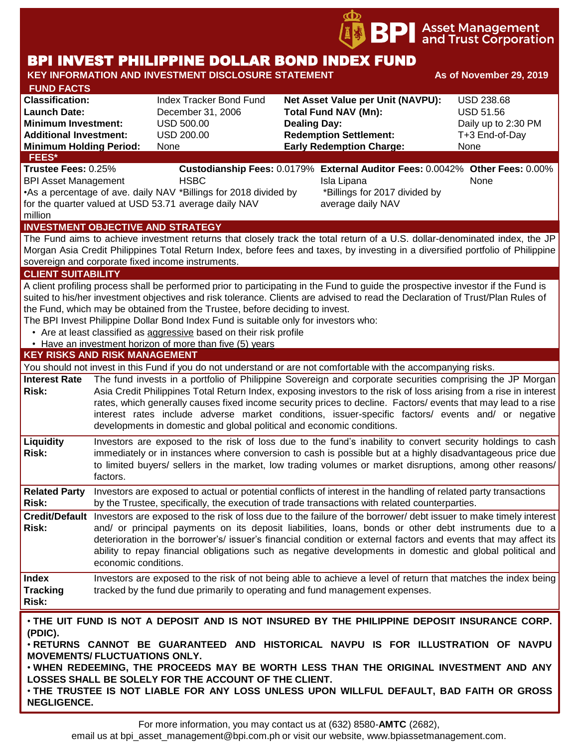

# BPI INVEST PHILIPPINE DOLLAR BOND INDEX FUND

| <b>KEY INFORMATION AND INVESTMENT DISCLOSURE STATEMENT</b>                                                                                                                                                                                                                                                                                                                                                                                                                                                                                                                                                  | As of November 29, 2019                                                                                                                                                                                                                                                                                                                                                                                                                                                                                                           |                                                                                                                                                                                                                                                                                                                                                                                                                                                                                                    |                                                                                                                                                                                                                                                                                                                                                                       |                                                                                        |  |  |  |
|-------------------------------------------------------------------------------------------------------------------------------------------------------------------------------------------------------------------------------------------------------------------------------------------------------------------------------------------------------------------------------------------------------------------------------------------------------------------------------------------------------------------------------------------------------------------------------------------------------------|-----------------------------------------------------------------------------------------------------------------------------------------------------------------------------------------------------------------------------------------------------------------------------------------------------------------------------------------------------------------------------------------------------------------------------------------------------------------------------------------------------------------------------------|----------------------------------------------------------------------------------------------------------------------------------------------------------------------------------------------------------------------------------------------------------------------------------------------------------------------------------------------------------------------------------------------------------------------------------------------------------------------------------------------------|-----------------------------------------------------------------------------------------------------------------------------------------------------------------------------------------------------------------------------------------------------------------------------------------------------------------------------------------------------------------------|----------------------------------------------------------------------------------------|--|--|--|
| <b>FUND FACTS</b><br><b>Classification:</b><br><b>Launch Date:</b><br><b>Minimum Investment:</b><br><b>Additional Investment:</b><br><b>Minimum Holding Period:</b><br><b>FEES*</b>                                                                                                                                                                                                                                                                                                                                                                                                                         |                                                                                                                                                                                                                                                                                                                                                                                                                                                                                                                                   | <b>Index Tracker Bond Fund</b><br>December 31, 2006<br><b>USD 500.00</b><br>USD 200.00<br><b>None</b>                                                                                                                                                                                                                                                                                                                                                                                              | Net Asset Value per Unit (NAVPU):<br><b>Total Fund NAV (Mn):</b><br><b>Dealing Day:</b><br><b>Redemption Settlement:</b><br><b>Early Redemption Charge:</b>                                                                                                                                                                                                           | <b>USD 238.68</b><br><b>USD 51.56</b><br>Daily up to 2:30 PM<br>T+3 End-of-Day<br>None |  |  |  |
| Trustee Fees: 0.25%<br><b>BPI Asset Management</b><br>million                                                                                                                                                                                                                                                                                                                                                                                                                                                                                                                                               |                                                                                                                                                                                                                                                                                                                                                                                                                                                                                                                                   | <b>HSBC</b><br>•As a percentage of ave. daily NAV *Billings for 2018 divided by<br>for the quarter valued at USD 53.71 average daily NAV                                                                                                                                                                                                                                                                                                                                                           | Custodianship Fees: 0.0179% External Auditor Fees: 0.0042% Other Fees: 0.00%<br>Isla Lipana<br>*Billings for 2017 divided by<br>average daily NAV                                                                                                                                                                                                                     | None                                                                                   |  |  |  |
|                                                                                                                                                                                                                                                                                                                                                                                                                                                                                                                                                                                                             |                                                                                                                                                                                                                                                                                                                                                                                                                                                                                                                                   | <b>INVESTMENT OBJECTIVE AND STRATEGY</b><br>sovereign and corporate fixed income instruments.                                                                                                                                                                                                                                                                                                                                                                                                      | The Fund aims to achieve investment returns that closely track the total return of a U.S. dollar-denominated index, the JP<br>Morgan Asia Credit Philippines Total Return Index, before fees and taxes, by investing in a diversified portfolio of Philippine                                                                                                         |                                                                                        |  |  |  |
| <b>CLIENT SUITABILITY</b><br>A client profiling process shall be performed prior to participating in the Fund to guide the prospective investor if the Fund is<br>suited to his/her investment objectives and risk tolerance. Clients are advised to read the Declaration of Trust/Plan Rules of<br>the Fund, which may be obtained from the Trustee, before deciding to invest.<br>The BPI Invest Philippine Dollar Bond Index Fund is suitable only for investors who:<br>• Are at least classified as aggressive based on their risk profile<br>• Have an investment horizon of more than five (5) years |                                                                                                                                                                                                                                                                                                                                                                                                                                                                                                                                   |                                                                                                                                                                                                                                                                                                                                                                                                                                                                                                    |                                                                                                                                                                                                                                                                                                                                                                       |                                                                                        |  |  |  |
| <b>KEY RISKS AND RISK MANAGEMENT</b>                                                                                                                                                                                                                                                                                                                                                                                                                                                                                                                                                                        |                                                                                                                                                                                                                                                                                                                                                                                                                                                                                                                                   |                                                                                                                                                                                                                                                                                                                                                                                                                                                                                                    |                                                                                                                                                                                                                                                                                                                                                                       |                                                                                        |  |  |  |
|                                                                                                                                                                                                                                                                                                                                                                                                                                                                                                                                                                                                             |                                                                                                                                                                                                                                                                                                                                                                                                                                                                                                                                   |                                                                                                                                                                                                                                                                                                                                                                                                                                                                                                    | You should not invest in this Fund if you do not understand or are not comfortable with the accompanying risks.                                                                                                                                                                                                                                                       |                                                                                        |  |  |  |
| <b>Interest Rate</b><br>Risk:                                                                                                                                                                                                                                                                                                                                                                                                                                                                                                                                                                               | The fund invests in a portfolio of Philippine Sovereign and corporate securities comprising the JP Morgan<br>Asia Credit Philippines Total Return Index, exposing investors to the risk of loss arising from a rise in interest<br>rates, which generally causes fixed income security prices to decline. Factors/ events that may lead to a rise<br>interest rates include adverse market conditions, issuer-specific factors/ events and/ or negative<br>developments in domestic and global political and economic conditions. |                                                                                                                                                                                                                                                                                                                                                                                                                                                                                                    |                                                                                                                                                                                                                                                                                                                                                                       |                                                                                        |  |  |  |
| Liquidity<br><b>Risk:</b>                                                                                                                                                                                                                                                                                                                                                                                                                                                                                                                                                                                   | factors.                                                                                                                                                                                                                                                                                                                                                                                                                                                                                                                          | Investors are exposed to the risk of loss due to the fund's inability to convert security holdings to cash<br>immediately or in instances where conversion to cash is possible but at a highly disadvantageous price due<br>to limited buyers/ sellers in the market, low trading volumes or market disruptions, among other reasons/                                                                                                                                                              |                                                                                                                                                                                                                                                                                                                                                                       |                                                                                        |  |  |  |
| <b>Related Party</b><br>Risk:                                                                                                                                                                                                                                                                                                                                                                                                                                                                                                                                                                               |                                                                                                                                                                                                                                                                                                                                                                                                                                                                                                                                   |                                                                                                                                                                                                                                                                                                                                                                                                                                                                                                    | Investors are exposed to actual or potential conflicts of interest in the handling of related party transactions<br>by the Trustee, specifically, the execution of trade transactions with related counterparties.                                                                                                                                                    |                                                                                        |  |  |  |
| Risk:                                                                                                                                                                                                                                                                                                                                                                                                                                                                                                                                                                                                       |                                                                                                                                                                                                                                                                                                                                                                                                                                                                                                                                   | Credit/Default Investors are exposed to the risk of loss due to the failure of the borrower/debt issuer to make timely interest<br>and/ or principal payments on its deposit liabilities, loans, bonds or other debt instruments due to a<br>deterioration in the borrower's/ issuer's financial condition or external factors and events that may affect its<br>ability to repay financial obligations such as negative developments in domestic and global political and<br>economic conditions. |                                                                                                                                                                                                                                                                                                                                                                       |                                                                                        |  |  |  |
| <b>Index</b><br><b>Tracking</b><br><b>Risk:</b>                                                                                                                                                                                                                                                                                                                                                                                                                                                                                                                                                             |                                                                                                                                                                                                                                                                                                                                                                                                                                                                                                                                   |                                                                                                                                                                                                                                                                                                                                                                                                                                                                                                    | Investors are exposed to the risk of not being able to achieve a level of return that matches the index being<br>tracked by the fund due primarily to operating and fund management expenses.                                                                                                                                                                         |                                                                                        |  |  |  |
| (PDIC).<br><b>MOVEMENTS/ FLUCTUATIONS ONLY.</b><br><b>NEGLIGENCE.</b>                                                                                                                                                                                                                                                                                                                                                                                                                                                                                                                                       |                                                                                                                                                                                                                                                                                                                                                                                                                                                                                                                                   | LOSSES SHALL BE SOLELY FOR THE ACCOUNT OF THE CLIENT.                                                                                                                                                                                                                                                                                                                                                                                                                                              | . THE UIT FUND IS NOT A DEPOSIT AND IS NOT INSURED BY THE PHILIPPINE DEPOSIT INSURANCE CORP.<br>. RETURNS CANNOT BE GUARANTEED AND HISTORICAL NAVPU IS FOR ILLUSTRATION OF NAVPU<br>. WHEN REDEEMING, THE PROCEEDS MAY BE WORTH LESS THAN THE ORIGINAL INVESTMENT AND ANY<br>. THE TRUSTEE IS NOT LIABLE FOR ANY LOSS UNLESS UPON WILLFUL DEFAULT, BAD FAITH OR GROSS |                                                                                        |  |  |  |

For more information, you may contact us at (632) 8580-**AMTC** (2682),

email us at bpi\_asset\_management@bpi.com.ph or visit our website, www.bpiassetmanagement.com.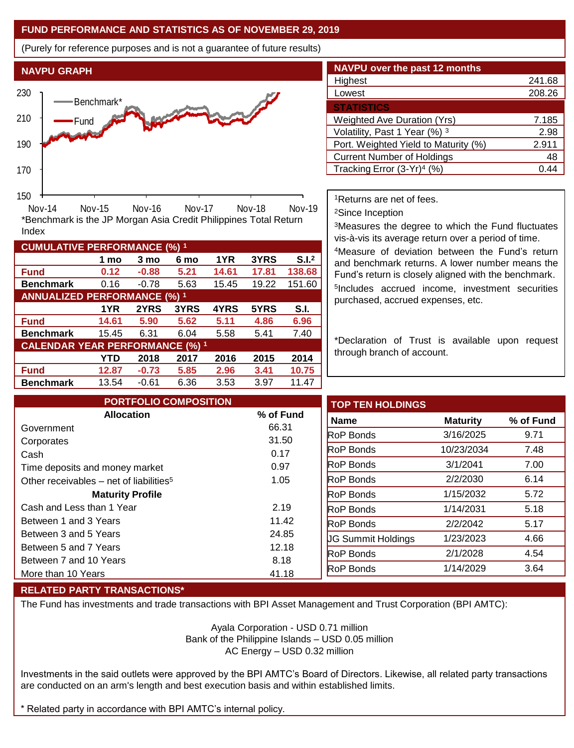## **FUND PERFORMANCE AND STATISTICS AS OF NOVEMBER 29, 2019**

**1 mo 3 mo 6 mo 1YR 3YRS S.I.<sup>2</sup>**

**1YR 2YRS 3YRS 4YRS 5YRS S.I.**

**YTD 2018 2017 2016 2015 2014**

**Fund 0.12 -0.88 5.21 14.61 17.81 138.68 Benchmark** 0.16 -0.78 5.63 15.45 19.22 151.60

\*Benchmark is the JP Morgan Asia Credit Philippines Total Return

Nov-14 Nov-15 Nov-16 Nov-17 Nov-18 Nov-19

**Fund 14.61 5.90 5.62 5.11 4.86 6.96 Benchmark** 15.45 6.31 6.04 5.58 5.41 7.40

**Fund 12.87 -0.73 5.85 2.96 3.41 10.75 Benchmark** 13.54 -0.61 6.36 3.53 3.97 11.47

(Purely for reference purposes and is not a guarantee of future results)



| <b>NAVPU</b> over the past 12 months   |        |  |  |  |  |  |
|----------------------------------------|--------|--|--|--|--|--|
| Highest                                | 241.68 |  |  |  |  |  |
| Lowest                                 | 208.26 |  |  |  |  |  |
| <b>STATISTICS</b>                      |        |  |  |  |  |  |
| <b>Weighted Ave Duration (Yrs)</b>     | 7.185  |  |  |  |  |  |
| Volatility, Past 1 Year (%) 3          | 2.98   |  |  |  |  |  |
| Port. Weighted Yield to Maturity (%)   | 2.911  |  |  |  |  |  |
| <b>Current Number of Holdings</b>      | 48     |  |  |  |  |  |
| Tracking Error (3-Yr) <sup>4</sup> (%) | በ 44   |  |  |  |  |  |

<sup>1</sup>Returns are net of fees.

<sup>2</sup>Since Inception

<sup>3</sup>Measures the degree to which the Fund fluctuates vis-à-vis its average return over a period of time.

<sup>4</sup>Measure of deviation between the Fund's return and benchmark returns. A lower number means the Fund's return is closely aligned with the benchmark. 5 Includes accrued income, investment securities purchased, accrued expenses, etc.

\*Declaration of Trust is available upon request through branch of account.

| <b>PORTFOLIO COMPOSITION</b>                        |           | <b>TOP TEN HOLDINGS</b>   |                 |           |
|-----------------------------------------------------|-----------|---------------------------|-----------------|-----------|
| <b>Allocation</b>                                   | % of Fund | <b>Name</b>               | <b>Maturity</b> | % of Fund |
| Government                                          | 66.31     | <b>RoP Bonds</b>          | 3/16/2025       | 9.71      |
| Corporates                                          | 31.50     |                           |                 |           |
| Cash                                                | 0.17      | <b>RoP</b> Bonds          | 10/23/2034      | 7.48      |
| Time deposits and money market                      | 0.97      | <b>RoP Bonds</b>          | 3/1/2041        | 7.00      |
| Other receivables - net of liabilities <sup>5</sup> | 1.05      | <b>RoP Bonds</b>          | 2/2/2030        | 6.14      |
| <b>Maturity Profile</b>                             |           | <b>RoP Bonds</b>          | 1/15/2032       | 5.72      |
| Cash and Less than 1 Year                           | 2.19      | <b>RoP</b> Bonds          | 1/14/2031       | 5.18      |
| Between 1 and 3 Years                               | 11.42     | <b>RoP Bonds</b>          | 2/2/2042        | 5.17      |
| Between 3 and 5 Years                               | 24.85     | <b>UG Summit Holdings</b> | 1/23/2023       | 4.66      |
| Between 5 and 7 Years                               | 12.18     |                           |                 |           |
| Between 7 and 10 Years                              | 8.18      | <b>RoP</b> Bonds          | 2/1/2028        | 4.54      |
| More than 10 Years                                  | 41.18     | <b>RoP Bonds</b>          | 1/14/2029       | 3.64      |

### **RELATED PARTY TRANSACTIONS\***

**CUMULATIVE PERFORMANCE (%) <sup>1</sup>**

Index

**ANNUALIZED PERFORMANCE (%) <sup>1</sup>**

**CALENDAR YEAR PERFORMANCE (%) <sup>1</sup>**

The Fund has investments and trade transactions with BPI Asset Management and Trust Corporation (BPI AMTC):

Ayala Corporation - USD 0.71 million Bank of the Philippine Islands – USD 0.05 million AC Energy – USD 0.32 million

Investments in the said outlets were approved by the BPI AMTC's Board of Directors. Likewise, all related party transactions are conducted on an arm's length and best execution basis and within established limits.

\* Related party in accordance with BPI AMTC's internal policy.